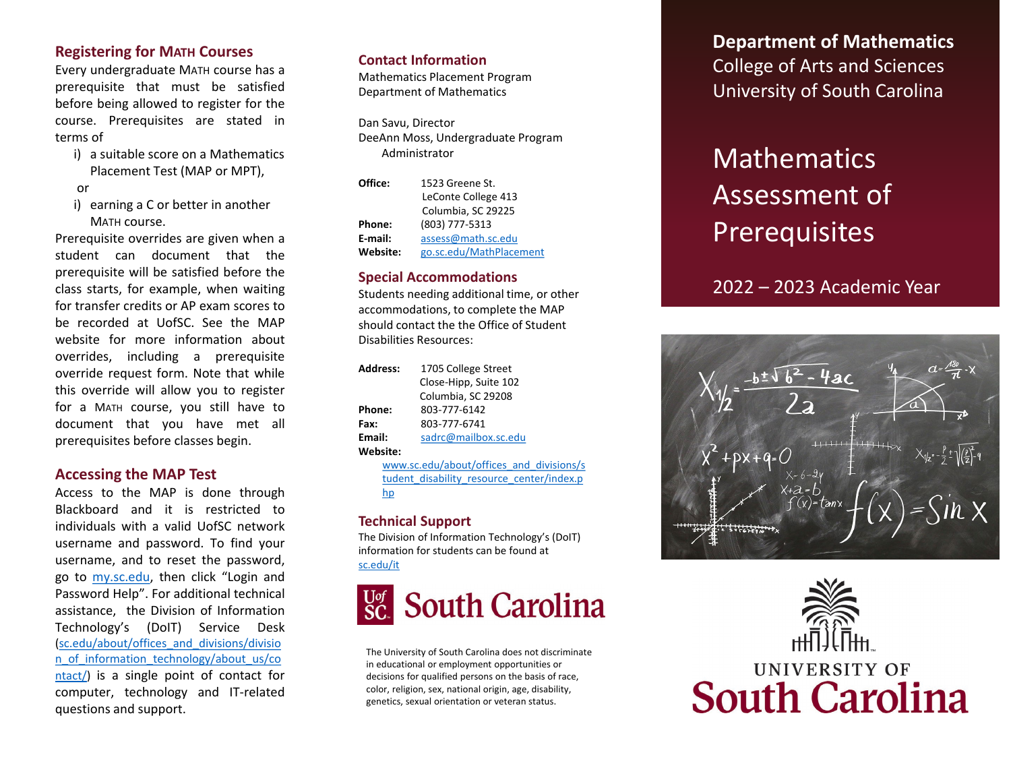## **Registering for MATH Courses**

Every undergraduate MATH course has a prerequisite that must be satisfied before being allowed to register for the course. Prerequisites are stated in terms of

i) a suitable score on a Mathematics Placement Test (MAP or MPT),

#### or

i) earning a C or better in another MATH course.

Prerequisite overrides are given when a student can document that the prerequisite will be satisfied before the class starts, for example, when waiting for transfer credits or AP exam scores to be recorded at UofSC. See the MAP website for more information about overrides, including a prerequisite override request form . Note that while this override will allow you to register for a MATH course, you still have to document that you have met all prerequisites before classes begin .

#### **Accessing the MAP Test**

Access to the MAP is done through Blackboard and it is restricted to individuals with a valid UofSC network username and password . To find your username, and to reset the password, go to **my.sc[.edu](http://my.sc.edu/)**, then click "Login and Password Help". For additional technical assistance, the Division of Information Technology's (DoIT) Service Desk [\(sc.edu/about/offices\\_and\\_divisions](https://sc.edu/about/offices_and_divisions/division_of_information_technology/about_us/contact/) /divisio n\_of\_information\_technology/about\_us/co ntact/) is a single point of contact for computer, technology and IT-related questions and support .

#### **Contact Information**

Mathematics Placement Program Department of Mathematics

Dan Savu, Director DeeAnn Moss, Undergraduate Program Administrator

| Office:  | 1523 Greene St.         |
|----------|-------------------------|
|          | LeConte College 413     |
|          | Columbia, SC 29225      |
| Phone:   | (803) 777-5313          |
| E-mail:  | assess@math.sc.edu      |
| Website: | go.sc.edu/MathPlacement |

#### **Special Accommodations**

Students needing additional time, or other accommodations, to complete the MAP should contact the the Office of Student Disabilities Resources:

| <b>Address:</b> | 1705 College Street                      |  |  |  |  |  |
|-----------------|------------------------------------------|--|--|--|--|--|
|                 | Close-Hipp, Suite 102                    |  |  |  |  |  |
|                 | Columbia, SC 29208                       |  |  |  |  |  |
| Phone:          | 803-777-6142                             |  |  |  |  |  |
| Fax:            | 803-777-6741                             |  |  |  |  |  |
| Email:          | sadrc@mailbox.sc.edu                     |  |  |  |  |  |
| Website:        |                                          |  |  |  |  |  |
|                 | www.sc.edu/about/offices and divisions/s |  |  |  |  |  |

[tudent\\_disability\\_resource\\_center/index.p](https://www.sc.edu/about/offices_and_divisions/student_disability_resource_center/index.php) hp

#### **Technical Support**

The Division of Information Technology's (DoIT) information for students can be found at [sc.edu/it](https://sc.edu/it)



The University of South Carolina does not discriminate in educational or employment opportunities or decisions for qualified persons on the basis of race, color, religion, sex, national origin, age, disability, genetics, sexual orientation or veteran status.

**Department of Mathematics** College of Arts and Sciences University of South Carolina

# **Mathematics** Assessment of **Prerequisites**

2022 – 2023 Academic Year

 $t$ anx